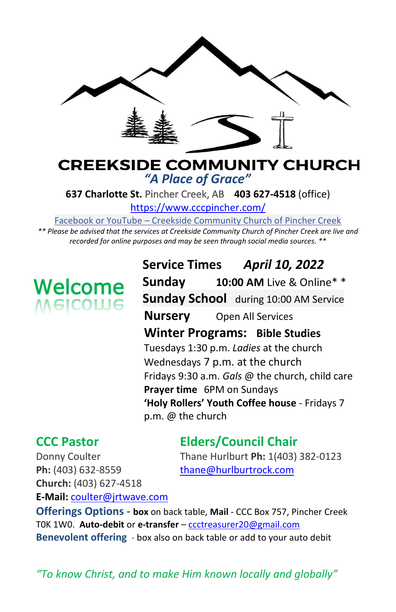

### **CREEKSIDE COMMUNITY CHURCH** *"A Place of Grace"*

**637 Charlotte St.** Pincher Creek, AB **403 627-4518** (office)

<https://www.cccpincher.com/>

Facebook or YouTube – Creekside Community Church of Pincher Creek

*\*\* Please be advised that the services at Creekside Community Church of Pincher Creek are live and recorded for online purposes and may be seen through social media sources. \*\**

# **Welcome**<br>Melcolue

**Service Times** *April 10, 2022* **Sunday 10:00 AM** Live & Online\* \* **Sunday School** during 10:00 AM Service **Nursery** Open All Services **Winter Programs: Bible Studies** Tuesdays 1:30 p.m. *Ladies* at the church Wednesdays 7 p.m. at the church Fridays 9:30 a.m. *Gals* @ the church, child care **Prayer time** 6PM on Sundays **'Holy Rollers' Youth Coffee house** - Fridays 7 p.m. @ the church

# **CCC Pastor Elders/Council Chair**

Donny Coulter Thane Hurlburt **Ph:** 1(403) 382-0123

Ph: (403) 632-8559 [thane@hurlburtrock.com](mailto:thane@hurlburtrock.com) **Church:** (403) 627-4518 **E-Mail:** [coulter@jrtwave.com](mailto:coulter@jrtwave.com)

**Offerings Options - box** on back table, **Mail** - CCC Box 757, Pincher Creek T0K 1W0. **Auto-debit** or **e-transfer** – [ccctreasurer20@gmail.com](mailto:ccctreasurer20@gmail.com) **Benevolent offering** - box also on back table or add to your auto debit

*"To know Christ, and to make Him known locally and globally"*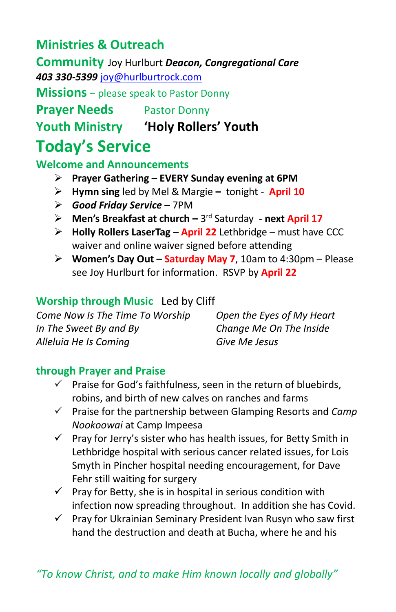## **Ministries & Outreach**

**Community** Joy Hurlburt *Deacon, Congregational Care 403 330-5399* [joy@hurlburtrock.com](mailto:joy@hurlburtrock.com)

**Missions** – please speak to Pastor Donny

**Prayer Needs** Pastor Donny

**Youth Ministry 'Holy Rollers' Youth**

# **Today's Service**

**Welcome and Announcements** 

- ➢ **Prayer Gathering – EVERY Sunday evening at 6PM**
- ➢ **Hymn sing** led by Mel & Margie **–** tonight **April 10**
- ➢ *Good Friday Service* **–** 7PM
- > Men's Breakfast at church 3<sup>rd</sup> Saturday next April 17
- ➢ **Holly Rollers LaserTag – April 22** Lethbridge must have CCC waiver and online waiver signed before attending
- ➢ **Women's Day Out – Saturday May 7**, 10am to 4:30pm Please see Joy Hurlburt for information. RSVP by **April 22**

#### **Worship through Music**Led by Cliff

*Come Now Is The Time To Worship Open the Eyes of My Heart In The Sweet By and By Change Me On The Inside Alleluia He Is Coming Give Me Jesus*

#### **through Prayer and Praise**

- Praise for God's faithfulness, seen in the return of bluebirds, robins, and birth of new calves on ranches and farms
- ✓ Praise for the partnership between Glamping Resorts and *Camp Nookoowai* at Camp Impeesa
- $\checkmark$  Pray for Jerry's sister who has health issues, for Betty Smith in Lethbridge hospital with serious cancer related issues, for Lois Smyth in Pincher hospital needing encouragement, for Dave Fehr still waiting for surgery
- $\checkmark$  Pray for Betty, she is in hospital in serious condition with infection now spreading throughout. In addition she has Covid.
- ✓ Pray for Ukrainian Seminary President Ivan Rusyn who saw first hand the destruction and death at Bucha, where he and his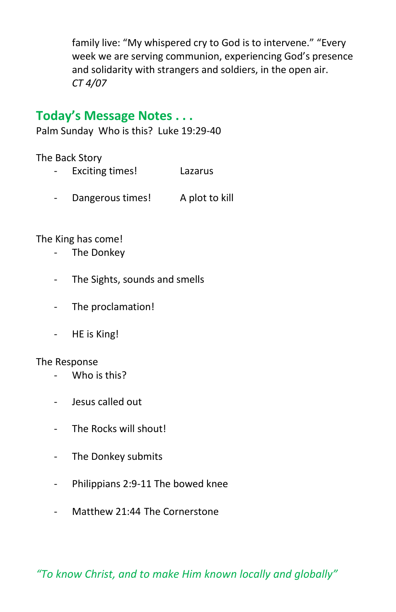family live: "My whispered cry to God is to intervene." "Every week we are serving communion, experiencing God's presence and solidarity with strangers and soldiers, in the open air. *CT 4/07*

#### **Today's Message Notes . . .**

Palm Sunday Who is this? Luke 19:29-40

The Back Story

- Exciting times! Lazarus
- Dangerous times! A plot to kill

The King has come!

- The Donkey
- The Sights, sounds and smells
- The proclamation!
- HE is King!

#### The Response

- Who is this?
- Jesus called out
- The Rocks will shout!
- The Donkey submits
- Philippians 2:9-11 The bowed knee
- Matthew 21:44 The Cornerstone

*"To know Christ, and to make Him known locally and globally"*